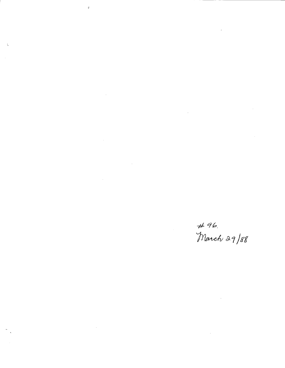# 96.<br>March 29/88

 $\hat{\boldsymbol{\beta}}$ 

 $\hat{\mathcal{A}}$ 

 $\hat{\phi}$ 

 $\hat{\mathcal{A}}$ 

 $\mathcal{L}_{\mathcal{A}}$ 

 $\hat{\mathcal{A}}$ 

 $\sim 10$ 

 $\bar{\gamma}$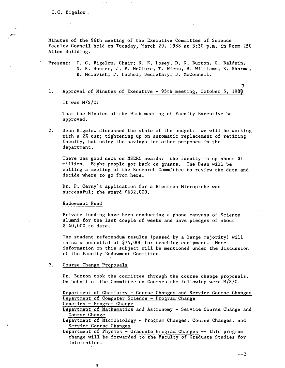an

Minutes of the 96th meeting of the Executive Committee of Science Faculty Council held on Tuesday, March 29, 1988 at 3:30 p.m. in Room 250 Allen Building.

Present: C. C. Bigelow, Chair; N. E. Losey, D. N. Burton, G. Baldwin, N. R. Hunter, J. P. McClure, T. Wiens, H. Williams, K. Sharma, B. McTavish; P. Pachol, Secretary; J. McConnell.

7  $1.$ Approval of Minutes of Executive - 95th meeting, October 5, 1988

It was M/S/C:

That the Minutes of the 95th meeting of Faculty Executive be approved.

 $2.$ Dean Bigelow discussed the state of the budget: we will be working with a 2% cut; tightening up on automatic replacement of retiring faculty, but using the savings for other purposes in the department.

There was good news on NSERC awards: the faculty is up about \$1 million. Eight people got back on grants. The Dean will be calling a meeting of the Research Committee to review the data and decide where to go from here.

Dr. P. Cerny's application for a Electron Microprobe was successful; the award \$632,000.

Endowment Fund

Private funding have been conducting a phone canvass of Science alumni for the last couple of weeks and have pledges of about \$140,000 to date.

The student referendum results (passed by a large majority) will raise a potential of \$75,000 for teaching equipment. More information on this subject will be mentioned under the discussion of the Faculty Endowment Committee.

#### $3.$ Course Change Proposals

Dr. Burton took the committee through the course change proposals. On behalf of the Committee on Courses the following were N/S/C.

Department of Chemistry - Course Changes and Service Course Changes Department of Computer Science - Program Change

Genetics - Program Change

¥

Department of Mathematics and Astronomy - Service Course Change and Course Change

Department of Microbiology - Program Changes, Course Changes, and Service Course Changes

Department of Physics - Graduate Program Changes -- this program change will be forwarded to the Faculty of Graduate Studies for information.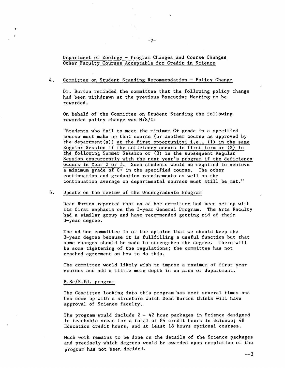# Department of Zoology - Program Changes and Course Changes Other Faculty Courses Acceptable for Credit in Science

 $-2-$ 

#### 4. Committee on Student Standing Recommendation - Policy Change

Dr. Burton reminded the committee that the following policy change had been withdrawn at the previous Executive Meeting to be reworded.

On behalf of the Committee on Student Standing the following reworded policy change was M/S/C:

"Students who fail to meet the minimum C+ grade in a specified course must make up that course (or another course as approved by the department(s)) at the first opportunity; i.e., (1) in the same Regular Session if the deficiency occurs in first term or (2) in the following Summer Session or (3) in the subsequent Regular Session concurrently with the next year's program if the deficiency occurs in Year 2 or 3. Such students would be required to achieve a minimum grade of C+ in the specified course. The other continuation and graduation requirements as well as the continuation average on departmental courses must still be met."

#### $5.$ Update on the review of the Undergraduate Program

Dean Burton reported that an ad hoc committee had been set up with its first emphasis on the 3-year General Program. The Arts Faculty had a similar group and have recommended getting rid of their 3-year degree.

The ad hoc committee is of the opinion that we should keep the 3-year degree because it is fuilfilling a useful function but that some changes should be made to strengthen the degree. There will be some tightening of the regulations; the committee has not reached agreement on how to do this.

The committee would likely wish to impose a maximum of first year courses and add a little more depth in an area or department.

## B.Sc/B.Ed. program

The Committee looking into this program has meet several times and has come up with a structure which Dean Burton thinks will have approval of Science faculty.

The program would include  $2 - 42$  hour packages in Science designed in teachable areas for a total of 84 credit hours in Science;  $48$ Education credit hours, and at least 18 hours optional courses.

Much work remains to be done on the details of the Science packages and precisely which degrees would be awarded upon completion of the program has not been decided.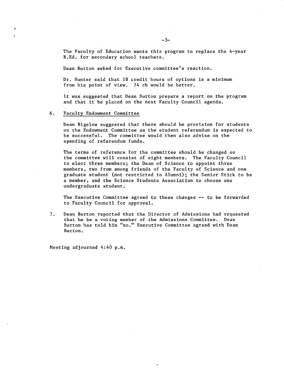The Faculty of Education wants this program to replace the 4-year B.Ed. for secondary school teachers.

Dean Burton asked for Executive committee's reaction.

Dr. Hunter said that 18 credit hours of options is a minimum from his point of view. 24 ch would be better.

It was suggested that Dean Burton prepare a report on the program and that it be placed on the next Faculty Council agenda.

#### $6.$ Faculty Endowment Committee

Dean Bigelow suggested that there should be provision for students on the Endowment Committee as the student referendum is expected to be successful. The committee would then also advise on the spending of referendum funds.

The terms of reference for the committee should be changed so the committee will consist of eight members. The Faculty Council to elect three members; the Dean of Science to appoint three members, two from among friends of the Faculty of Science and one graduate student (not restricted to Alumni); the Senior Stick to be a member, and the Science Students Association to choose one undergraduate student.

The Executive Committee agreed to these changes -- to be forwarded to Faculty Council for approval.

 $7.$ Dean Burton reported that the Director of Admissions had requested that he be a voting member of the Admissions Committee. Dean Burton has told him "no." Executive Committee agreed with Dean Burton.

Meeting adjourned 4:40 p.m.